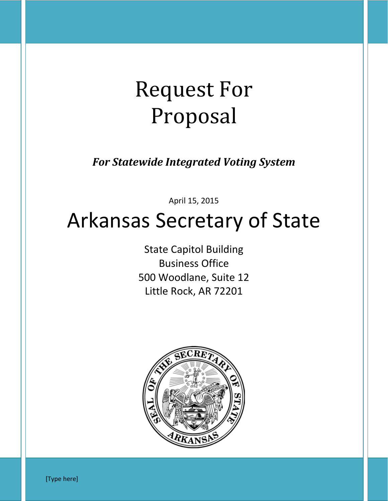# Request For Proposal

*For Statewide Integrated Voting System*

April 15, 2015

## Arkansas Secretary of State

State Capitol Building Business Office 500 Woodlane, Suite 12 Little Rock, AR 72201



[Type here]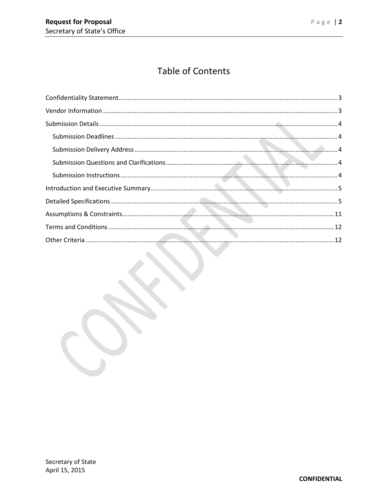## **Table of Contents**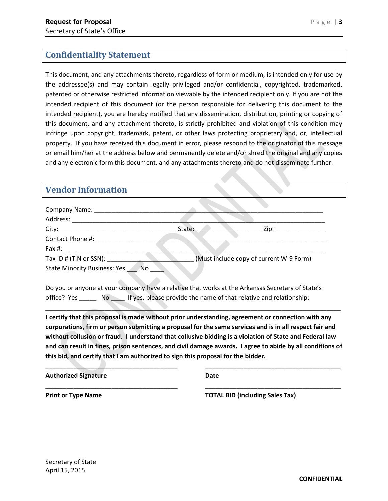## <span id="page-2-0"></span>**Confidentiality Statement**

This document, and any attachments thereto, regardless of form or medium, is intended only for use by the addressee(s) and may contain legally privileged and/or confidential, copyrighted, trademarked, patented or otherwise restricted information viewable by the intended recipient only. If you are not the intended recipient of this document (or the person responsible for delivering this document to the intended recipient), you are hereby notified that any dissemination, distribution, printing or copying of this document, and any attachment thereto, is strictly prohibited and violation of this condition may infringe upon copyright, trademark, patent, or other laws protecting proprietary and, or, intellectual property. If you have received this document in error, please respond to the originator of this message or email him/her at the address below and permanently delete and/or shred the original and any copies and any electronic form this document, and any attachments thereto and do not disseminate further.

## <span id="page-2-1"></span>**Vendor Information**

| Company Name:                       |                                                                    |                                                                                                  |
|-------------------------------------|--------------------------------------------------------------------|--------------------------------------------------------------------------------------------------|
| Address:                            |                                                                    |                                                                                                  |
| City:                               | State:                                                             | Zip:                                                                                             |
| Contact Phone #:                    |                                                                    |                                                                                                  |
| Fax #:                              |                                                                    |                                                                                                  |
| Tax ID # (TIN or SSN):              |                                                                    | (Must include copy of current W-9 Form)                                                          |
| <b>State Minority Business: Yes</b> | <b>No</b>                                                          |                                                                                                  |
|                                     |                                                                    |                                                                                                  |
|                                     |                                                                    | Do you or anyone at your company have a relative that works at the Arkansas Secretary of State's |
| office? Yes<br>No l                 | If yes, please provide the name of that relative and relationship: |                                                                                                  |

**I certify that this proposal is made without prior understanding, agreement or connection with any corporations, firm or person submitting a proposal for the same services and is in all respect fair and without collusion or fraud. I understand that collusive bidding is a violation of State and Federal law and can result in fines, prison sentences, and civil damage awards. I agree to abide by all conditions of this bid, and certify that I am authorized to sign this proposal for the bidder.**

**\_\_\_\_\_\_\_\_\_\_\_\_\_\_\_\_\_\_\_\_\_\_\_\_\_\_\_\_\_\_\_\_\_\_\_\_\_\_ \_\_\_\_\_\_\_\_\_\_\_\_\_\_\_\_\_\_\_\_\_\_\_\_\_\_\_\_\_\_\_\_\_\_\_\_\_\_\_**

**\_\_\_\_\_\_\_\_\_\_\_\_\_\_\_\_\_\_\_\_\_\_\_\_\_\_\_\_\_\_\_\_\_\_\_\_\_\_ \_\_\_\_\_\_\_\_\_\_\_\_\_\_\_\_\_\_\_\_\_\_\_\_\_\_\_\_\_\_\_\_\_\_\_\_\_\_\_**

\_\_\_\_\_\_\_\_\_\_\_\_\_\_\_\_\_\_\_\_\_\_\_\_\_\_\_\_\_\_\_\_\_\_\_\_\_\_\_\_\_\_\_\_\_\_\_\_\_\_\_\_\_\_\_\_\_\_\_\_\_\_\_\_\_\_\_\_\_\_\_\_\_\_\_\_\_\_\_\_\_\_\_\_\_

**Authorized Signature Date**

**Print or Type Name TOTAL BID (including Sales Tax)**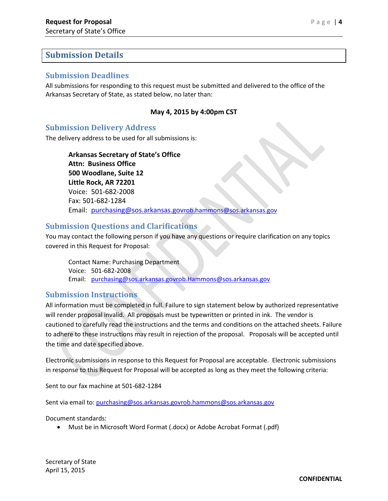### <span id="page-3-0"></span>**Submission Details**

#### <span id="page-3-1"></span>**Submission Deadlines**

All submissions for responding to this request must be submitted and delivered to the office of the Arkansas Secretary of State, as stated below, no later than:

#### **May 4, 2015 by 4:00pm CST**

#### <span id="page-3-2"></span>**Submission Delivery Address**

The delivery address to be used for all submissions is:

**Arkansas Secretary of State's Office Attn: Business Office 500 Woodlane, Suite 12 Little Rock, AR 72201** Voice: 501-682-2008 Fax: 501-682-1284 Email: [purchasing@sos.arkansas.govrob.hammons@sos.arkansas.gov](http://operationstech.about.com/purchasing@sos.arkansas.gov)

#### <span id="page-3-3"></span>**Submission Questions and Clarifications**

You may contact the following person if you have any questions or require clarification on any topics covered in this Request for Proposal:

Contact Name: Purchasing Department Voice: 501-682-2008 Email: [purchasing@sos.arkansas.govrob.Hammons@sos.arkansas.gov](http://operationstech.about.com/purchasing@sos.arkansas.gov)

#### <span id="page-3-4"></span>**Submission Instructions**

All information must be completed in full. Failure to sign statement below by authorized representative will render proposal invalid. All proposals must be typewritten or printed in ink. The vendor is cautioned to carefully read the instructions and the terms and conditions on the attached sheets. Failure to adhere to these instructions may result in rejection of the proposal. Proposals will be accepted until the time and date specified above.

Electronic submissions in response to this Request for Proposal are acceptable. Electronic submissions in response to this Request for Proposal will be accepted as long as they meet the following criteria:

Sent to our fax machine at 501-682-1284

Sent via email to: [purchasing@sos.arkansas.govrob.hammons@sos.arkansas.gov](http://operationstech.about.com/purchasing@sos.arkansas.gov)

Document standards:

• Must be in Microsoft Word Format (.docx) or Adobe Acrobat Format (.pdf)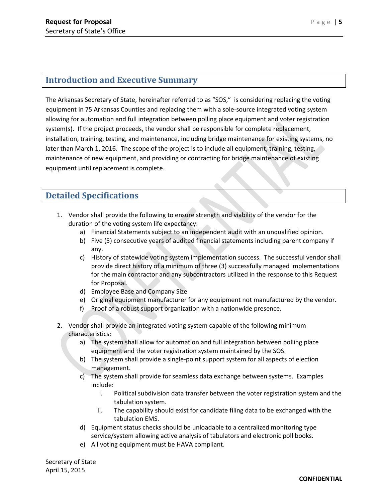## <span id="page-4-0"></span>**Introduction and Executive Summary**

The Arkansas Secretary of State, hereinafter referred to as "SOS," is considering replacing the voting equipment in 75 Arkansas Counties and replacing them with a sole-source integrated voting system allowing for automation and full integration between polling place equipment and voter registration system(s). If the project proceeds, the vendor shall be responsible for complete replacement, installation, training, testing, and maintenance, including bridge maintenance for existing systems, no later than March 1, 2016. The scope of the project is to include all equipment, training, testing, maintenance of new equipment, and providing or contracting for bridge maintenance of existing equipment until replacement is complete.

## <span id="page-4-1"></span>**Detailed Specifications**

- 1. Vendor shall provide the following to ensure strength and viability of the vendor for the duration of the voting system life expectancy:
	- a) Financial Statements subject to an independent audit with an unqualified opinion.
	- b) Five (5) consecutive years of audited financial statements including parent company if any.
	- c) History of statewide voting system implementation success. The successful vendor shall provide direct history of a minimum of three (3) successfully managed implementations for the main contractor and any subcontractors utilized in the response to this Request for Proposal.
	- d) Employee Base and Company Size
	- e) Original equipment manufacturer for any equipment not manufactured by the vendor.
	- f) Proof of a robust support organization with a nationwide presence.
- 2. Vendor shall provide an integrated voting system capable of the following minimum characteristics:
	- a) The system shall allow for automation and full integration between polling place equipment and the voter registration system maintained by the SOS.
	- b) The system shall provide a single-point support system for all aspects of election management.
	- c) The system shall provide for seamless data exchange between systems. Examples include:
		- I. Political subdivision data transfer between the voter registration system and the tabulation system.
		- II. The capability should exist for candidate filing data to be exchanged with the tabulation EMS.
	- d) Equipment status checks should be unloadable to a centralized monitoring type service/system allowing active analysis of tabulators and electronic poll books.
	- e) All voting equipment must be HAVA compliant.

Secretary of State April 15, 2015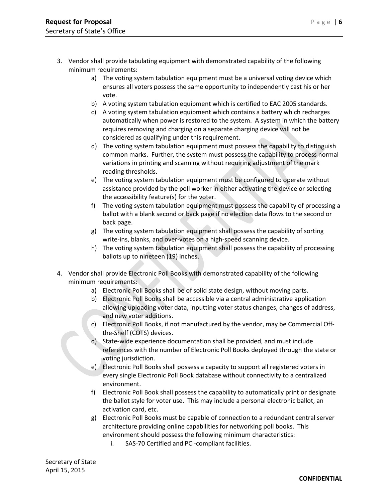- 3. Vendor shall provide tabulating equipment with demonstrated capability of the following minimum requirements:
	- a) The voting system tabulation equipment must be a universal voting device which ensures all voters possess the same opportunity to independently cast his or her vote.
	- b) A voting system tabulation equipment which is certified to EAC 2005 standards.
	- c) A voting system tabulation equipment which contains a battery which recharges automatically when power is restored to the system. A system in which the battery requires removing and charging on a separate charging device will not be considered as qualifying under this requirement.
	- d) The voting system tabulation equipment must possess the capability to distinguish common marks. Further, the system must possess the capability to process normal variations in printing and scanning without requiring adjustment of the mark reading thresholds.
	- e) The voting system tabulation equipment must be configured to operate without assistance provided by the poll worker in either activating the device or selecting the accessibility feature(s) for the voter.
	- f) The voting system tabulation equipment must possess the capability of processing a ballot with a blank second or back page if no election data flows to the second or back page.
	- g) The voting system tabulation equipment shall possess the capability of sorting write-ins, blanks, and over-votes on a high-speed scanning device.
	- h) The voting system tabulation equipment shall possess the capability of processing ballots up to nineteen (19) inches.
- 4. Vendor shall provide Electronic Poll Books with demonstrated capability of the following minimum requirements:
	- a) Electronic Poll Books shall be of solid state design, without moving parts.
	- b) Electronic Poll Books shall be accessible via a central administrative application allowing uploading voter data, inputting voter status changes, changes of address, and new voter additions.
	- c) Electronic Poll Books, if not manufactured by the vendor, may be Commercial Offthe-Shelf (COTS) devices.
	- d) State-wide experience documentation shall be provided, and must include references with the number of Electronic Poll Books deployed through the state or voting jurisdiction.
	- e) Electronic Poll Books shall possess a capacity to support all registered voters in every single Electronic Poll Book database without connectivity to a centralized environment.
	- f) Electronic Poll Book shall possess the capability to automatically print or designate the ballot style for voter use. This may include a personal electronic ballot, an activation card, etc.
	- g) Electronic Poll Books must be capable of connection to a redundant central server architecture providing online capabilities for networking poll books. This environment should possess the following minimum characteristics:
		- i. SAS-70 Certified and PCI-compliant facilities.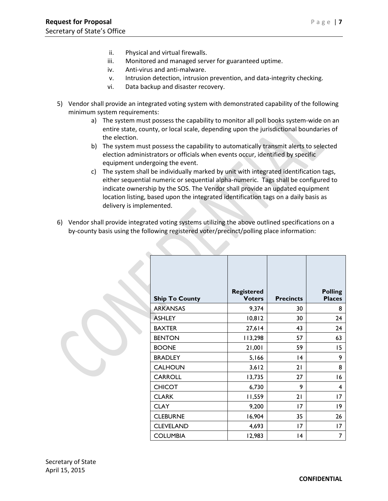- ii. Physical and virtual firewalls.
- iii. Monitored and managed server for guaranteed uptime.
- iv. Anti-virus and anti-malware.
- v. Intrusion detection, intrusion prevention, and data-integrity checking.
- vi. Data backup and disaster recovery.
- 5) Vendor shall provide an integrated voting system with demonstrated capability of the following minimum system requirements:
	- a) The system must possess the capability to monitor all poll books system-wide on an entire state, county, or local scale, depending upon the jurisdictional boundaries of the election.
	- b) The system must possess the capability to automatically transmit alerts to selected election administrators or officials when events occur, identified by specific equipment undergoing the event.
	- c) The system shall be individually marked by unit with integrated identification tags, either sequential numeric or sequential alpha-numeric. Tags shall be configured to indicate ownership by the SOS. The Vendor shall provide an updated equipment location listing, based upon the integrated identification tags on a daily basis as delivery is implemented.
- 6) Vendor shall provide integrated voting systems utilizing the above outlined specifications on a by-county basis using the following registered voter/precinct/polling place information:

| <b>Ship To County</b> | <b>Registered</b><br><b>Voters</b> | <b>Precincts</b> | <b>Polling</b><br><b>Places</b> |
|-----------------------|------------------------------------|------------------|---------------------------------|
| <b>ARKANSAS</b>       | 9,374                              | 30               | 8                               |
| <b>ASHLEY</b>         | 10,812                             | 30               | 24                              |
| <b>BAXTER</b>         | 27,614                             | 43               | 24                              |
| <b>BENTON</b>         | 113,298                            | 57               | 63                              |
| <b>BOONE</b>          | 1,001                              | 59               | 15                              |
| <b>BRADLEY</b>        | 5,166                              | 4                | 9                               |
| <b>CALHOUN</b>        | 3,612                              | 21               | 8                               |
| <b>CARROLL</b>        | 13,735                             | 27               | 16                              |
| <b>CHICOT</b>         | 6,730                              | 9                | 4                               |
| <b>CLARK</b>          | 11,559                             | 21               | 17                              |
| <b>CLAY</b>           | 9,200                              | 17               | 19                              |
| <b>CLEBURNE</b>       | 16,904                             | 35               | 26                              |
| <b>CLEVELAND</b>      | 4,693                              | 17               | 17                              |
| <b>COLUMBIA</b>       | 12,983                             | 14               | 7                               |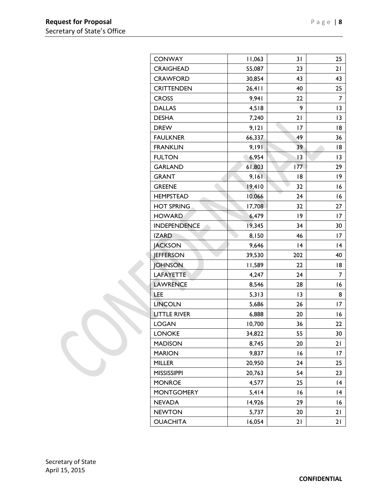| <b>CONWAY</b>       | 11,063 | 31  | 25 |
|---------------------|--------|-----|----|
| <b>CRAIGHEAD</b>    | 55,087 | 23  | 21 |
| <b>CRAWFORD</b>     | 30,854 | 43  | 43 |
| <b>CRITTENDEN</b>   | 26,411 | 40  | 25 |
| <b>CROSS</b>        | 9,941  | 22  | 7  |
| <b>DALLAS</b>       | 4,518  | 9   | 3  |
| <b>DESHA</b>        | 7,240  | 21  | 3  |
| <b>DREW</b>         | 9,121  | 17  | 18 |
| <b>FAULKNER</b>     | 66,337 | 49  | 36 |
| <b>FRANKLIN</b>     | 9,191  | 39  | 18 |
| <b>FULTON</b>       | 6,954  | 13  | 3  |
| <b>GARLAND</b>      | 61,803 | 177 | 29 |
| <b>GRANT</b>        | 9,161  | 18  | 19 |
| <b>GREENE</b>       | 19,410 | 32  | 16 |
| <b>HEMPSTEAD</b>    | 10,066 | 24  | 16 |
| <b>HOT SPRING</b>   | 17,708 | 32  | 27 |
| <b>HOWARD</b>       | 6,479  | 19  | 17 |
| <b>INDEPENDENCE</b> | 19,345 | 34  | 30 |
| <b>IZARD</b>        | 8,150  | 46  | 17 |
| <b>JACKSON</b>      | 9,646  | 14  | 4  |
| <b>JEFFERSON</b>    | 39,530 | 202 | 40 |
| <b>JOHNSON</b>      | 11,589 | 22  | 18 |
| LAFAYETTE           | 4,247  | 24  | 7  |
| <b>LAWRENCE</b>     | 8,546  | 28  | 16 |
| <b>LEE</b>          | 5,313  | 3   | 8  |
| <b>LINCOLN</b>      | 5,686  | 26  | 17 |
| <b>LITTLE RIVER</b> | 6,888  | 20  | 16 |
| <b>LOGAN</b>        | 10,700 | 36  | 22 |
| <b>LONOKE</b>       | 34,822 | 55  | 30 |
| <b>MADISON</b>      | 8,745  | 20  | 21 |
| <b>MARION</b>       | 9,837  | 16  | 17 |
| <b>MILLER</b>       | 20,950 | 24  | 25 |
| <b>MISSISSIPPI</b>  | 20,763 | 54  | 23 |
| <b>MONROE</b>       | 4,577  | 25  | 4  |
| <b>MONTGOMERY</b>   | 5,414  | 16  | 4  |
| <b>NEVADA</b>       | 14,926 | 29  | 16 |
| <b>NEWTON</b>       | 5,737  | 20  | 21 |
| <b>OUACHITA</b>     | 16,054 | 21  | 21 |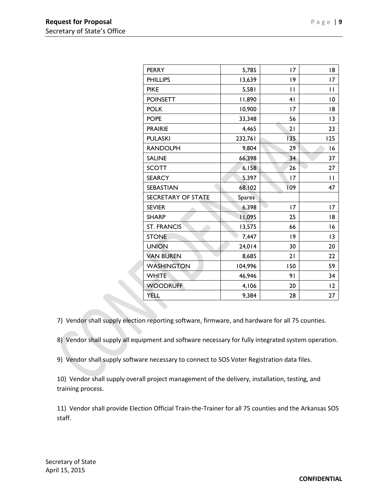| <b>PERRY</b>       | 5,785         | 17             | 18                       |
|--------------------|---------------|----------------|--------------------------|
| <b>PHILLIPS</b>    | 13,639        | 19             | 17                       |
| <b>PIKE</b>        | 5,581         | $\mathbf{I}$   | П                        |
| <b>POINSETT</b>    | 11,890        | 4 <sub>1</sub> | 10                       |
| <b>POLK</b>        | 10,900        | 17             | 18                       |
| <b>POPE</b>        | 33,348        | 56             | 13                       |
| <b>PRAIRIE</b>     | 4,465         | 21             | 23                       |
| <b>PULASKI</b>     | 232,761       | 135            | 125                      |
| <b>RANDOLPH</b>    | 9,804         | 29             | 16                       |
| <b>SALINE</b>      | 66,398        | 34             | 37                       |
| <b>SCOTT</b>       | 6,158         | 26             | 27                       |
| <b>SEARCY</b>      | 5,397         | 17             | $\overline{\phantom{0}}$ |
| SEBASTIAN          | 68,102        | 109            | 47                       |
| SECRETARY OF STATE | <b>Spares</b> |                |                          |
| <b>SEVIER</b>      | 6,398         | 17             | 17                       |
| <b>SHARP</b>       | 11,095        | 25             | 18                       |
| <b>ST. FRANCIS</b> | 13,575        | 66             | 16                       |
| <b>STONE</b>       | 7,447         | $ 9\rangle$    | 13                       |
| <b>UNION</b>       | 24,014        | 30             | 20                       |
| <b>VAN BUREN</b>   | 8,685         | 21             | 22                       |
| <b>WASHINGTON</b>  | 104,996       | 150            | 59                       |
| <b>WHITE</b>       | 46,946        | 91             | 34                       |
| <b>WOODRUFF</b>    | 4,106         | 20             | 12                       |
| YELL               | 9,384         | 28             | 27                       |

7) Vendor shall supply election reporting software, firmware, and hardware for all 75 counties.

8) Vendor shall supply all equipment and software necessary for fully integrated system operation.

9) Vendor shall supply software necessary to connect to SOS Voter Registration data files.

10) Vendor shall supply overall project management of the delivery, installation, testing, and training process.

11) Vendor shall provide Election Official Train-the-Trainer for all 75 counties and the Arkansas SOS staff.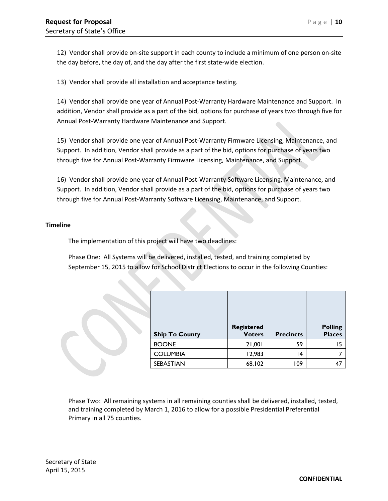12) Vendor shall provide on-site support in each county to include a minimum of one person on-site the day before, the day of, and the day after the first state-wide election.

13) Vendor shall provide all installation and acceptance testing.

14) Vendor shall provide one year of Annual Post-Warranty Hardware Maintenance and Support. In addition, Vendor shall provide as a part of the bid, options for purchase of years two through five for Annual Post-Warranty Hardware Maintenance and Support.

15) Vendor shall provide one year of Annual Post-Warranty Firmware Licensing, Maintenance, and Support. In addition, Vendor shall provide as a part of the bid, options for purchase of years two through five for Annual Post-Warranty Firmware Licensing, Maintenance, and Support.

16) Vendor shall provide one year of Annual Post-Warranty Software Licensing, Maintenance, and Support. In addition, Vendor shall provide as a part of the bid, options for purchase of years two through five for Annual Post-Warranty Software Licensing, Maintenance, and Support.

#### **Timeline**

The implementation of this project will have two deadlines:

Phase One: All Systems will be delivered, installed, tested, and training completed by September 15, 2015 to allow for School District Elections to occur in the following Counties:

|                       | <b>Registered</b> |                  | <b>Polling</b> |
|-----------------------|-------------------|------------------|----------------|
| <b>Ship To County</b> | <b>Voters</b>     | <b>Precincts</b> | <b>Places</b>  |
| <b>BOONE</b>          | 1,001             | 59               | 15             |
| <b>COLUMBIA</b>       | 12,983            | 14               |                |
| <b>SEBASTIAN</b>      | 68,102            | 109              | 47             |

Phase Two: All remaining systems in all remaining counties shall be delivered, installed, tested, and training completed by March 1, 2016 to allow for a possible Presidential Preferential Primary in all 75 counties.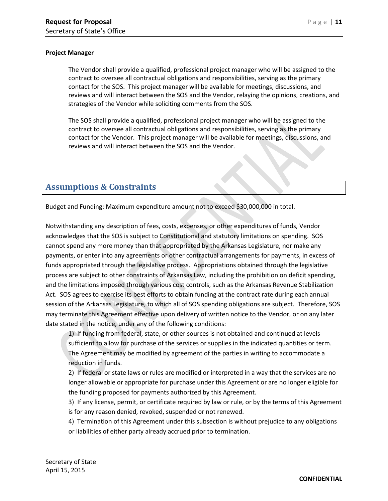#### **Project Manager**

The Vendor shall provide a qualified, professional project manager who will be assigned to the contract to oversee all contractual obligations and responsibilities, serving as the primary contact for the SOS. This project manager will be available for meetings, discussions, and reviews and will interact between the SOS and the Vendor, relaying the opinions, creations, and strategies of the Vendor while soliciting comments from the SOS.

The SOS shall provide a qualified, professional project manager who will be assigned to the contract to oversee all contractual obligations and responsibilities, serving as the primary contact for the Vendor. This project manager will be available for meetings, discussions, and reviews and will interact between the SOS and the Vendor.

## <span id="page-10-0"></span>**Assumptions & Constraints**

Budget and Funding: Maximum expenditure amount not to exceed \$30,000,000 in total.

Notwithstanding any description of fees, costs, expenses, or other expenditures of funds, Vendor acknowledges that the SOS is subject to Constitutional and statutory limitations on spending. SOS cannot spend any more money than that appropriated by the Arkansas Legislature, nor make any payments, or enter into any agreements or other contractual arrangements for payments, in excess of funds appropriated through the legislative process. Appropriations obtained through the legislative process are subject to other constraints of Arkansas Law, including the prohibition on deficit spending, and the limitations imposed through various cost controls, such as the Arkansas Revenue Stabilization Act. SOS agrees to exercise its best efforts to obtain funding at the contract rate during each annual session of the Arkansas Legislature, to which all of SOS spending obligations are subject. Therefore, SOS may terminate this Agreement effective upon delivery of written notice to the Vendor, or on any later date stated in the notice, under any of the following conditions:

1) If funding from federal, state, or other sources is not obtained and continued at levels sufficient to allow for purchase of the services or supplies in the indicated quantities or term. The Agreement may be modified by agreement of the parties in writing to accommodate a reduction in funds.

2) If federal or state laws or rules are modified or interpreted in a way that the services are no longer allowable or appropriate for purchase under this Agreement or are no longer eligible for the funding proposed for payments authorized by this Agreement.

3) If any license, permit, or certificate required by law or rule, or by the terms of this Agreement is for any reason denied, revoked, suspended or not renewed.

4) Termination of this Agreement under this subsection is without prejudice to any obligations or liabilities of either party already accrued prior to termination.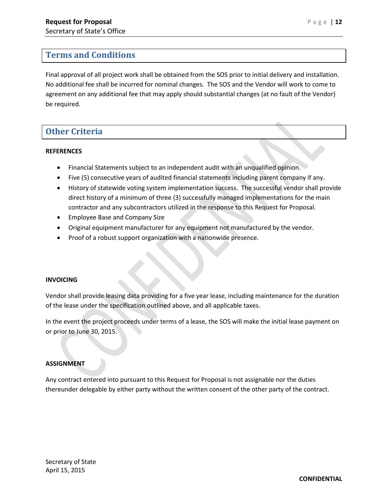## <span id="page-11-0"></span>**Terms and Conditions**

Final approval of all project work shall be obtained from the SOS prior to initial delivery and installation. No additional fee shall be incurred for nominal changes. The SOS and the Vendor will work to come to agreement on any additional fee that may apply should substantial changes (at no fault of the Vendor) be required.

## <span id="page-11-1"></span>**Other Criteria**

#### **REFERENCES**

- Financial Statements subject to an independent audit with an unqualified opinion.
- Five (5) consecutive years of audited financial statements including parent company if any.
- History of statewide voting system implementation success. The successful vendor shall provide direct history of a minimum of three (3) successfully managed implementations for the main contractor and any subcontractors utilized in the response to this Request for Proposal.
- Employee Base and Company Size
- Original equipment manufacturer for any equipment not manufactured by the vendor.
- Proof of a robust support organization with a nationwide presence.

#### **INVOICING**

Vendor shall provide leasing data providing for a five year lease, including maintenance for the duration of the lease under the specification outlined above, and all applicable taxes.

In the event the project proceeds under terms of a lease, the SOS will make the initial lease payment on or prior to June 30, 2015.

#### **ASSIGNMENT**

Any contract entered into pursuant to this Request for Proposal is not assignable nor the duties thereunder delegable by either party without the written consent of the other party of the contract.